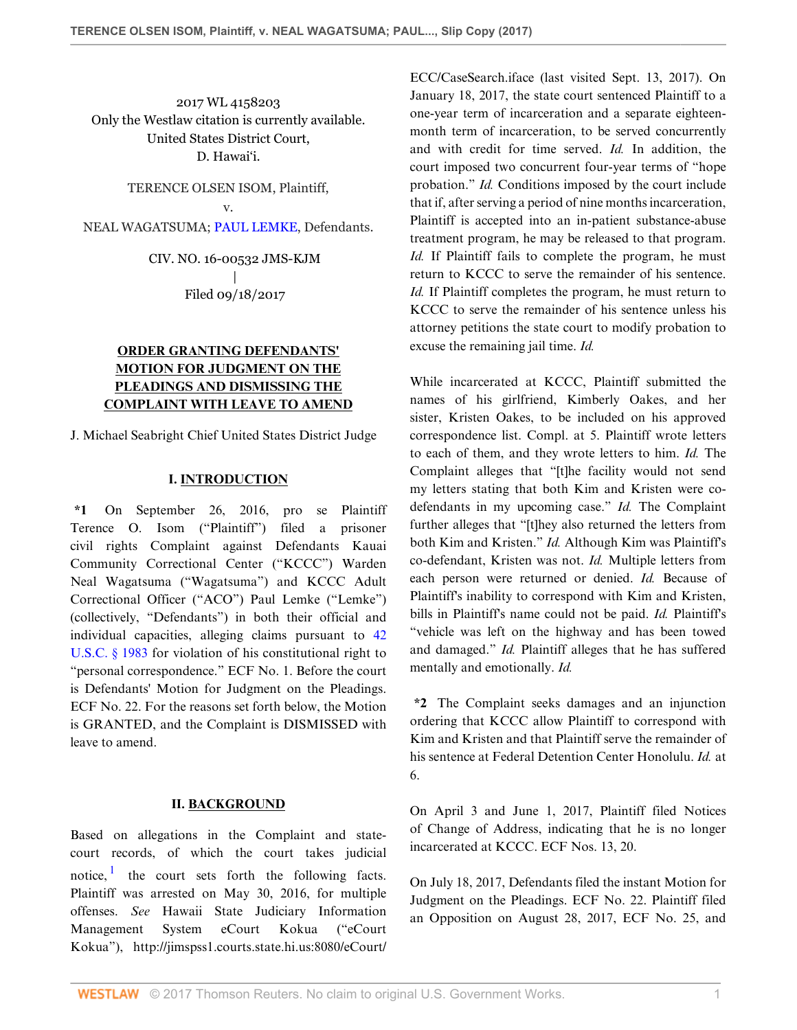2017 WL 4158203 Only the Westlaw citation is currently available. United States District Court, D. Hawai'i.

> TERENCE OLSEN ISOM, Plaintiff, v.

NEAL WAGATSUMA; [PAUL LEMKE,](http://www.westlaw.com/Search/Results.html?query=advanced%3a+OAID(5023833997)&saveJuris=False&contentType=BUSINESS-INVESTIGATOR&startIndex=1&contextData=(sc.Default)&categoryPageUrl=Home%2fCompanyInvestigator&originationContext=document&vr=3.0&rs=cblt1.0&transitionType=DocumentItem) Defendants.

CIV. NO. 16-00532 JMS-KJM | Filed 09/18/2017

# **ORDER GRANTING DEFENDANTS' MOTION FOR JUDGMENT ON THE PLEADINGS AND DISMISSING THE COMPLAINT WITH LEAVE TO AMEND**

J. Michael Seabright Chief United States District Judge

## **I. INTRODUCTION**

**\*1** On September 26, 2016, pro se Plaintiff Terence O. Isom ("Plaintiff") filed a prisoner civil rights Complaint against Defendants Kauai Community Correctional Center ("KCCC") Warden Neal Wagatsuma ("Wagatsuma") and KCCC Adult Correctional Officer ("ACO") Paul Lemke ("Lemke") (collectively, "Defendants") in both their official and individual capacities, alleging claims pursuant to [42](http://www.westlaw.com/Link/Document/FullText?findType=L&pubNum=1000546&cite=42USCAS1983&originatingDoc=Ic80761209e1811e7ae06bb6d796f727f&refType=LQ&originationContext=document&vr=3.0&rs=cblt1.0&transitionType=DocumentItem&contextData=(sc.Default)) [U.S.C. § 1983](http://www.westlaw.com/Link/Document/FullText?findType=L&pubNum=1000546&cite=42USCAS1983&originatingDoc=Ic80761209e1811e7ae06bb6d796f727f&refType=LQ&originationContext=document&vr=3.0&rs=cblt1.0&transitionType=DocumentItem&contextData=(sc.Default)) for violation of his constitutional right to "personal correspondence." ECF No. 1. Before the court is Defendants' Motion for Judgment on the Pleadings. ECF No. 22. For the reasons set forth below, the Motion is GRANTED, and the Complaint is DISMISSED with leave to amend.

## **II. BACKGROUND**

<span id="page-0-0"></span>Based on allegations in the Complaint and statecourt records, of which the court takes judicial notice,  $\frac{1}{1}$  $\frac{1}{1}$  $\frac{1}{1}$  the court sets forth the following facts. Plaintiff was arrested on May 30, 2016, for multiple offenses. *See* Hawaii State Judiciary Information Management System eCourt Kokua ("eCourt Kokua"), http://jimspss1.courts.state.hi.us:8080/eCourt/

ECC/CaseSearch.iface (last visited Sept. 13, 2017). On January 18, 2017, the state court sentenced Plaintiff to a one-year term of incarceration and a separate eighteenmonth term of incarceration, to be served concurrently and with credit for time served. *Id.* In addition, the court imposed two concurrent four-year terms of "hope probation." *Id.* Conditions imposed by the court include that if, after serving a period of nine months incarceration, Plaintiff is accepted into an in-patient substance-abuse treatment program, he may be released to that program. *Id.* If Plaintiff fails to complete the program, he must return to KCCC to serve the remainder of his sentence. *Id.* If Plaintiff completes the program, he must return to KCCC to serve the remainder of his sentence unless his attorney petitions the state court to modify probation to excuse the remaining jail time. *Id.*

While incarcerated at KCCC, Plaintiff submitted the names of his girlfriend, Kimberly Oakes, and her sister, Kristen Oakes, to be included on his approved correspondence list. Compl. at 5. Plaintiff wrote letters to each of them, and they wrote letters to him. *Id.* The Complaint alleges that "[t]he facility would not send my letters stating that both Kim and Kristen were codefendants in my upcoming case." *Id.* The Complaint further alleges that "[t]hey also returned the letters from both Kim and Kristen." *Id.* Although Kim was Plaintiff's co-defendant, Kristen was not. *Id.* Multiple letters from each person were returned or denied. *Id.* Because of Plaintiff's inability to correspond with Kim and Kristen, bills in Plaintiff's name could not be paid. *Id.* Plaintiff's "vehicle was left on the highway and has been towed and damaged." *Id.* Plaintiff alleges that he has suffered mentally and emotionally. *Id.*

**\*2** The Complaint seeks damages and an injunction ordering that KCCC allow Plaintiff to correspond with Kim and Kristen and that Plaintiff serve the remainder of his sentence at Federal Detention Center Honolulu. *Id.* at 6.

On April 3 and June 1, 2017, Plaintiff filed Notices of Change of Address, indicating that he is no longer incarcerated at KCCC. ECF Nos. 13, 20.

On July 18, 2017, Defendants filed the instant Motion for Judgment on the Pleadings. ECF No. 22. Plaintiff filed an Opposition on August 28, 2017, ECF No. 25, and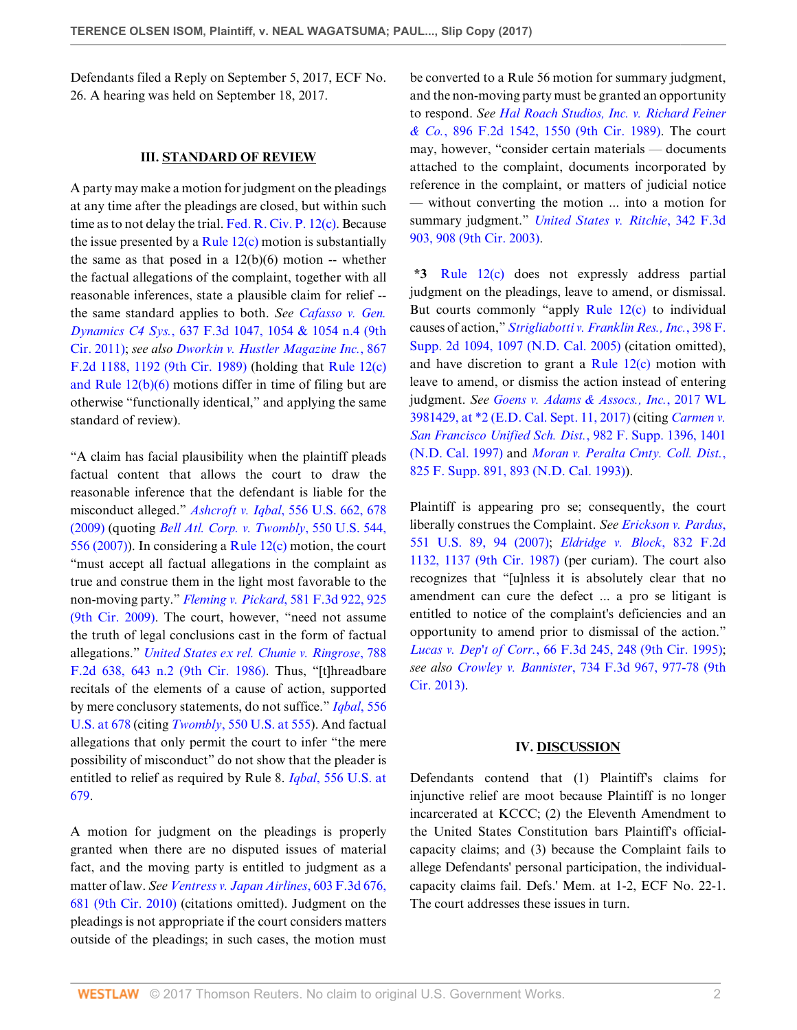Defendants filed a Reply on September 5, 2017, ECF No. 26. A hearing was held on September 18, 2017.

### **III. STANDARD OF REVIEW**

A party may make a motion for judgment on the pleadings at any time after the pleadings are closed, but within such time as to not delay the trial. [Fed. R. Civ. P. 12\(c\)](http://www.westlaw.com/Link/Document/FullText?findType=L&pubNum=1000600&cite=USFRCPR12&originatingDoc=Ic80761209e1811e7ae06bb6d796f727f&refType=LQ&originationContext=document&vr=3.0&rs=cblt1.0&transitionType=DocumentItem&contextData=(sc.Default)). Because the issue presented by a Rule  $12(c)$  motion is substantially the same as that posed in a  $12(b)(6)$  motion -- whether the factual allegations of the complaint, together with all reasonable inferences, state a plausible claim for relief - the same standard applies to both. *See [Cafasso v. Gen.](http://www.westlaw.com/Link/Document/FullText?findType=Y&serNum=2024859050&pubNum=0000506&originatingDoc=Ic80761209e1811e7ae06bb6d796f727f&refType=RP&fi=co_pp_sp_506_1054&originationContext=document&vr=3.0&rs=cblt1.0&transitionType=DocumentItem&contextData=(sc.Default)#co_pp_sp_506_1054) Dynamics C4 Sys.*[, 637 F.3d 1047, 1054 & 1054 n.4 \(9th](http://www.westlaw.com/Link/Document/FullText?findType=Y&serNum=2024859050&pubNum=0000506&originatingDoc=Ic80761209e1811e7ae06bb6d796f727f&refType=RP&fi=co_pp_sp_506_1054&originationContext=document&vr=3.0&rs=cblt1.0&transitionType=DocumentItem&contextData=(sc.Default)#co_pp_sp_506_1054) [Cir. 2011\)](http://www.westlaw.com/Link/Document/FullText?findType=Y&serNum=2024859050&pubNum=0000506&originatingDoc=Ic80761209e1811e7ae06bb6d796f727f&refType=RP&fi=co_pp_sp_506_1054&originationContext=document&vr=3.0&rs=cblt1.0&transitionType=DocumentItem&contextData=(sc.Default)#co_pp_sp_506_1054); *see also [Dworkin v. Hustler Magazine Inc.](http://www.westlaw.com/Link/Document/FullText?findType=Y&serNum=1989014572&pubNum=0000350&originatingDoc=Ic80761209e1811e7ae06bb6d796f727f&refType=RP&fi=co_pp_sp_350_1192&originationContext=document&vr=3.0&rs=cblt1.0&transitionType=DocumentItem&contextData=(sc.Default)#co_pp_sp_350_1192)*, 867 [F.2d 1188, 1192 \(9th Cir. 1989\)](http://www.westlaw.com/Link/Document/FullText?findType=Y&serNum=1989014572&pubNum=0000350&originatingDoc=Ic80761209e1811e7ae06bb6d796f727f&refType=RP&fi=co_pp_sp_350_1192&originationContext=document&vr=3.0&rs=cblt1.0&transitionType=DocumentItem&contextData=(sc.Default)#co_pp_sp_350_1192) (holding that [Rule 12\(c\)](http://www.westlaw.com/Link/Document/FullText?findType=L&pubNum=1000600&cite=USFRCPR12&originatingDoc=Ic80761209e1811e7ae06bb6d796f727f&refType=LQ&originationContext=document&vr=3.0&rs=cblt1.0&transitionType=DocumentItem&contextData=(sc.Default)) [and Rule 12\(b\)\(6\)](http://www.westlaw.com/Link/Document/FullText?findType=L&pubNum=1000600&cite=USFRCPR12&originatingDoc=Ic80761209e1811e7ae06bb6d796f727f&refType=LQ&originationContext=document&vr=3.0&rs=cblt1.0&transitionType=DocumentItem&contextData=(sc.Default)) motions differ in time of filing but are otherwise "functionally identical," and applying the same standard of review).

"A claim has facial plausibility when the plaintiff pleads factual content that allows the court to draw the reasonable inference that the defendant is liable for the misconduct alleged." *Ashcroft v. Iqbal*[, 556 U.S. 662, 678](http://www.westlaw.com/Link/Document/FullText?findType=Y&serNum=2018848474&pubNum=0000780&originatingDoc=Ic80761209e1811e7ae06bb6d796f727f&refType=RP&fi=co_pp_sp_780_678&originationContext=document&vr=3.0&rs=cblt1.0&transitionType=DocumentItem&contextData=(sc.Default)#co_pp_sp_780_678) [\(2009\)](http://www.westlaw.com/Link/Document/FullText?findType=Y&serNum=2018848474&pubNum=0000780&originatingDoc=Ic80761209e1811e7ae06bb6d796f727f&refType=RP&fi=co_pp_sp_780_678&originationContext=document&vr=3.0&rs=cblt1.0&transitionType=DocumentItem&contextData=(sc.Default)#co_pp_sp_780_678) (quoting *[Bell Atl. Corp. v. Twombly](http://www.westlaw.com/Link/Document/FullText?findType=Y&serNum=2012293296&pubNum=0000780&originatingDoc=Ic80761209e1811e7ae06bb6d796f727f&refType=RP&fi=co_pp_sp_780_556&originationContext=document&vr=3.0&rs=cblt1.0&transitionType=DocumentItem&contextData=(sc.Default)#co_pp_sp_780_556)*, 550 U.S. 544, [556 \(2007\)](http://www.westlaw.com/Link/Document/FullText?findType=Y&serNum=2012293296&pubNum=0000780&originatingDoc=Ic80761209e1811e7ae06bb6d796f727f&refType=RP&fi=co_pp_sp_780_556&originationContext=document&vr=3.0&rs=cblt1.0&transitionType=DocumentItem&contextData=(sc.Default)#co_pp_sp_780_556)). In considering a [Rule 12\(c\)](http://www.westlaw.com/Link/Document/FullText?findType=L&pubNum=1000600&cite=USFRCPR12&originatingDoc=Ic80761209e1811e7ae06bb6d796f727f&refType=LQ&originationContext=document&vr=3.0&rs=cblt1.0&transitionType=DocumentItem&contextData=(sc.Default)) motion, the court "must accept all factual allegations in the complaint as true and construe them in the light most favorable to the non-moving party." *Fleming v. Pickard*[, 581 F.3d 922, 925](http://www.westlaw.com/Link/Document/FullText?findType=Y&serNum=2019772279&pubNum=0000506&originatingDoc=Ic80761209e1811e7ae06bb6d796f727f&refType=RP&fi=co_pp_sp_506_925&originationContext=document&vr=3.0&rs=cblt1.0&transitionType=DocumentItem&contextData=(sc.Default)#co_pp_sp_506_925) [\(9th Cir. 2009\)](http://www.westlaw.com/Link/Document/FullText?findType=Y&serNum=2019772279&pubNum=0000506&originatingDoc=Ic80761209e1811e7ae06bb6d796f727f&refType=RP&fi=co_pp_sp_506_925&originationContext=document&vr=3.0&rs=cblt1.0&transitionType=DocumentItem&contextData=(sc.Default)#co_pp_sp_506_925). The court, however, "need not assume the truth of legal conclusions cast in the form of factual allegations." *[United States ex rel. Chunie v. Ringrose](http://www.westlaw.com/Link/Document/FullText?findType=Y&serNum=1986122116&pubNum=0000350&originatingDoc=Ic80761209e1811e7ae06bb6d796f727f&refType=RP&fi=co_pp_sp_350_643&originationContext=document&vr=3.0&rs=cblt1.0&transitionType=DocumentItem&contextData=(sc.Default)#co_pp_sp_350_643)*, 788 [F.2d 638, 643 n.2 \(9th Cir. 1986\)](http://www.westlaw.com/Link/Document/FullText?findType=Y&serNum=1986122116&pubNum=0000350&originatingDoc=Ic80761209e1811e7ae06bb6d796f727f&refType=RP&fi=co_pp_sp_350_643&originationContext=document&vr=3.0&rs=cblt1.0&transitionType=DocumentItem&contextData=(sc.Default)#co_pp_sp_350_643). Thus, "[t]hreadbare recitals of the elements of a cause of action, supported by mere conclusory statements, do not suffice." *[Iqbal](http://www.westlaw.com/Link/Document/FullText?findType=Y&serNum=2018848474&pubNum=0000780&originatingDoc=Ic80761209e1811e7ae06bb6d796f727f&refType=RP&fi=co_pp_sp_780_678&originationContext=document&vr=3.0&rs=cblt1.0&transitionType=DocumentItem&contextData=(sc.Default)#co_pp_sp_780_678)*, 556 [U.S. at 678](http://www.westlaw.com/Link/Document/FullText?findType=Y&serNum=2018848474&pubNum=0000780&originatingDoc=Ic80761209e1811e7ae06bb6d796f727f&refType=RP&fi=co_pp_sp_780_678&originationContext=document&vr=3.0&rs=cblt1.0&transitionType=DocumentItem&contextData=(sc.Default)#co_pp_sp_780_678) (citing *Twombly*[, 550 U.S. at 555\)](http://www.westlaw.com/Link/Document/FullText?findType=Y&serNum=2012293296&pubNum=0000780&originatingDoc=Ic80761209e1811e7ae06bb6d796f727f&refType=RP&fi=co_pp_sp_780_555&originationContext=document&vr=3.0&rs=cblt1.0&transitionType=DocumentItem&contextData=(sc.Default)#co_pp_sp_780_555). And factual allegations that only permit the court to infer "the mere possibility of misconduct" do not show that the pleader is entitled to relief as required by Rule 8. *Iqbal*[, 556 U.S. at](http://www.westlaw.com/Link/Document/FullText?findType=Y&serNum=2018848474&pubNum=0000780&originatingDoc=Ic80761209e1811e7ae06bb6d796f727f&refType=RP&fi=co_pp_sp_780_679&originationContext=document&vr=3.0&rs=cblt1.0&transitionType=DocumentItem&contextData=(sc.Default)#co_pp_sp_780_679) [679](http://www.westlaw.com/Link/Document/FullText?findType=Y&serNum=2018848474&pubNum=0000780&originatingDoc=Ic80761209e1811e7ae06bb6d796f727f&refType=RP&fi=co_pp_sp_780_679&originationContext=document&vr=3.0&rs=cblt1.0&transitionType=DocumentItem&contextData=(sc.Default)#co_pp_sp_780_679).

A motion for judgment on the pleadings is properly granted when there are no disputed issues of material fact, and the moving party is entitled to judgment as a matter of law. *See [Ventress v. Japan Airlines](http://www.westlaw.com/Link/Document/FullText?findType=Y&serNum=2021885524&pubNum=0000506&originatingDoc=Ic80761209e1811e7ae06bb6d796f727f&refType=RP&fi=co_pp_sp_506_681&originationContext=document&vr=3.0&rs=cblt1.0&transitionType=DocumentItem&contextData=(sc.Default)#co_pp_sp_506_681)*, 603 F.3d 676, [681 \(9th Cir. 2010\)](http://www.westlaw.com/Link/Document/FullText?findType=Y&serNum=2021885524&pubNum=0000506&originatingDoc=Ic80761209e1811e7ae06bb6d796f727f&refType=RP&fi=co_pp_sp_506_681&originationContext=document&vr=3.0&rs=cblt1.0&transitionType=DocumentItem&contextData=(sc.Default)#co_pp_sp_506_681) (citations omitted). Judgment on the pleadings is not appropriate if the court considers matters outside of the pleadings; in such cases, the motion must be converted to a Rule 56 motion for summary judgment, and the non-moving party must be granted an opportunity to respond. *See [Hal Roach Studios, Inc. v. Richard Feiner](http://www.westlaw.com/Link/Document/FullText?findType=Y&serNum=1990040042&pubNum=0000350&originatingDoc=Ic80761209e1811e7ae06bb6d796f727f&refType=RP&fi=co_pp_sp_350_1550&originationContext=document&vr=3.0&rs=cblt1.0&transitionType=DocumentItem&contextData=(sc.Default)#co_pp_sp_350_1550) & Co.*[, 896 F.2d 1542, 1550 \(9th Cir. 1989\).](http://www.westlaw.com/Link/Document/FullText?findType=Y&serNum=1990040042&pubNum=0000350&originatingDoc=Ic80761209e1811e7ae06bb6d796f727f&refType=RP&fi=co_pp_sp_350_1550&originationContext=document&vr=3.0&rs=cblt1.0&transitionType=DocumentItem&contextData=(sc.Default)#co_pp_sp_350_1550) The court may, however, "consider certain materials — documents attached to the complaint, documents incorporated by reference in the complaint, or matters of judicial notice — without converting the motion ... into a motion for summary judgment." *[United States v. Ritchie](http://www.westlaw.com/Link/Document/FullText?findType=Y&serNum=2003584470&pubNum=0000506&originatingDoc=Ic80761209e1811e7ae06bb6d796f727f&refType=RP&fi=co_pp_sp_506_908&originationContext=document&vr=3.0&rs=cblt1.0&transitionType=DocumentItem&contextData=(sc.Default)#co_pp_sp_506_908)*, 342 F.3d [903, 908 \(9th Cir. 2003\).](http://www.westlaw.com/Link/Document/FullText?findType=Y&serNum=2003584470&pubNum=0000506&originatingDoc=Ic80761209e1811e7ae06bb6d796f727f&refType=RP&fi=co_pp_sp_506_908&originationContext=document&vr=3.0&rs=cblt1.0&transitionType=DocumentItem&contextData=(sc.Default)#co_pp_sp_506_908)

**\*3** [Rule 12\(c\)](http://www.westlaw.com/Link/Document/FullText?findType=L&pubNum=1000600&cite=USFRCPR12&originatingDoc=Ic80761209e1811e7ae06bb6d796f727f&refType=LQ&originationContext=document&vr=3.0&rs=cblt1.0&transitionType=DocumentItem&contextData=(sc.Default)) does not expressly address partial judgment on the pleadings, leave to amend, or dismissal. But courts commonly "apply [Rule 12\(c\)](http://www.westlaw.com/Link/Document/FullText?findType=L&pubNum=1000600&cite=USFRCPR12&originatingDoc=Ic80761209e1811e7ae06bb6d796f727f&refType=LQ&originationContext=document&vr=3.0&rs=cblt1.0&transitionType=DocumentItem&contextData=(sc.Default)) to individual causes of action," *[Strigliabotti v. Franklin Res., Inc.](http://www.westlaw.com/Link/Document/FullText?findType=Y&serNum=2007669268&pubNum=0004637&originatingDoc=Ic80761209e1811e7ae06bb6d796f727f&refType=RP&fi=co_pp_sp_4637_1097&originationContext=document&vr=3.0&rs=cblt1.0&transitionType=DocumentItem&contextData=(sc.Default)#co_pp_sp_4637_1097)*, 398 F. [Supp. 2d 1094, 1097 \(N.D. Cal. 2005\)](http://www.westlaw.com/Link/Document/FullText?findType=Y&serNum=2007669268&pubNum=0004637&originatingDoc=Ic80761209e1811e7ae06bb6d796f727f&refType=RP&fi=co_pp_sp_4637_1097&originationContext=document&vr=3.0&rs=cblt1.0&transitionType=DocumentItem&contextData=(sc.Default)#co_pp_sp_4637_1097) (citation omitted), and have discretion to grant a Rule  $12(c)$  motion with leave to amend, or dismiss the action instead of entering judgment. *See [Goens v. Adams & Assocs., Inc.](http://www.westlaw.com/Link/Document/FullText?findType=Y&serNum=2042576152&pubNum=0000999&originatingDoc=Ic80761209e1811e7ae06bb6d796f727f&refType=RP&originationContext=document&vr=3.0&rs=cblt1.0&transitionType=DocumentItem&contextData=(sc.Default))*, 2017 WL [3981429, at \\*2 \(E.D. Cal. Sept. 11, 2017\)](http://www.westlaw.com/Link/Document/FullText?findType=Y&serNum=2042576152&pubNum=0000999&originatingDoc=Ic80761209e1811e7ae06bb6d796f727f&refType=RP&originationContext=document&vr=3.0&rs=cblt1.0&transitionType=DocumentItem&contextData=(sc.Default)) (citing *[Carmen v.](http://www.westlaw.com/Link/Document/FullText?findType=Y&serNum=1997227370&pubNum=0000345&originatingDoc=Ic80761209e1811e7ae06bb6d796f727f&refType=RP&fi=co_pp_sp_345_1401&originationContext=document&vr=3.0&rs=cblt1.0&transitionType=DocumentItem&contextData=(sc.Default)#co_pp_sp_345_1401) [San Francisco Unified Sch. Dist.](http://www.westlaw.com/Link/Document/FullText?findType=Y&serNum=1997227370&pubNum=0000345&originatingDoc=Ic80761209e1811e7ae06bb6d796f727f&refType=RP&fi=co_pp_sp_345_1401&originationContext=document&vr=3.0&rs=cblt1.0&transitionType=DocumentItem&contextData=(sc.Default)#co_pp_sp_345_1401)*, 982 F. Supp. 1396, 1401 [\(N.D. Cal. 1997\)](http://www.westlaw.com/Link/Document/FullText?findType=Y&serNum=1997227370&pubNum=0000345&originatingDoc=Ic80761209e1811e7ae06bb6d796f727f&refType=RP&fi=co_pp_sp_345_1401&originationContext=document&vr=3.0&rs=cblt1.0&transitionType=DocumentItem&contextData=(sc.Default)#co_pp_sp_345_1401) and *[Moran v. Peralta Cmty. Coll. Dist.](http://www.westlaw.com/Link/Document/FullText?findType=Y&serNum=1993136147&pubNum=0000345&originatingDoc=Ic80761209e1811e7ae06bb6d796f727f&refType=RP&fi=co_pp_sp_345_893&originationContext=document&vr=3.0&rs=cblt1.0&transitionType=DocumentItem&contextData=(sc.Default)#co_pp_sp_345_893)*, [825 F. Supp. 891, 893 \(N.D. Cal. 1993\)\)](http://www.westlaw.com/Link/Document/FullText?findType=Y&serNum=1993136147&pubNum=0000345&originatingDoc=Ic80761209e1811e7ae06bb6d796f727f&refType=RP&fi=co_pp_sp_345_893&originationContext=document&vr=3.0&rs=cblt1.0&transitionType=DocumentItem&contextData=(sc.Default)#co_pp_sp_345_893).

Plaintiff is appearing pro se; consequently, the court liberally construes the Complaint. *See [Erickson v. Pardus](http://www.westlaw.com/Link/Document/FullText?findType=Y&serNum=2012395796&pubNum=0000780&originatingDoc=Ic80761209e1811e7ae06bb6d796f727f&refType=RP&fi=co_pp_sp_780_94&originationContext=document&vr=3.0&rs=cblt1.0&transitionType=DocumentItem&contextData=(sc.Default)#co_pp_sp_780_94)*, [551 U.S. 89, 94 \(2007\);](http://www.westlaw.com/Link/Document/FullText?findType=Y&serNum=2012395796&pubNum=0000780&originatingDoc=Ic80761209e1811e7ae06bb6d796f727f&refType=RP&fi=co_pp_sp_780_94&originationContext=document&vr=3.0&rs=cblt1.0&transitionType=DocumentItem&contextData=(sc.Default)#co_pp_sp_780_94) *[Eldridge v. Block](http://www.westlaw.com/Link/Document/FullText?findType=Y&serNum=1987141871&pubNum=0000350&originatingDoc=Ic80761209e1811e7ae06bb6d796f727f&refType=RP&fi=co_pp_sp_350_1137&originationContext=document&vr=3.0&rs=cblt1.0&transitionType=DocumentItem&contextData=(sc.Default)#co_pp_sp_350_1137)*, 832 F.2d [1132, 1137 \(9th Cir. 1987\)](http://www.westlaw.com/Link/Document/FullText?findType=Y&serNum=1987141871&pubNum=0000350&originatingDoc=Ic80761209e1811e7ae06bb6d796f727f&refType=RP&fi=co_pp_sp_350_1137&originationContext=document&vr=3.0&rs=cblt1.0&transitionType=DocumentItem&contextData=(sc.Default)#co_pp_sp_350_1137) (per curiam). The court also recognizes that "[u]nless it is absolutely clear that no amendment can cure the defect ... a pro se litigant is entitled to notice of the complaint's deficiencies and an opportunity to amend prior to dismissal of the action." *Lucas v. Dep't of Corr.*[, 66 F.3d 245, 248 \(9th Cir. 1995\)](http://www.westlaw.com/Link/Document/FullText?findType=Y&serNum=1995190126&pubNum=0000506&originatingDoc=Ic80761209e1811e7ae06bb6d796f727f&refType=RP&fi=co_pp_sp_506_248&originationContext=document&vr=3.0&rs=cblt1.0&transitionType=DocumentItem&contextData=(sc.Default)#co_pp_sp_506_248); *see also Crowley v. Bannister*[, 734 F.3d 967, 977-78 \(9th](http://www.westlaw.com/Link/Document/FullText?findType=Y&serNum=2031872990&pubNum=0000506&originatingDoc=Ic80761209e1811e7ae06bb6d796f727f&refType=RP&fi=co_pp_sp_506_977&originationContext=document&vr=3.0&rs=cblt1.0&transitionType=DocumentItem&contextData=(sc.Default)#co_pp_sp_506_977) [Cir. 2013\)](http://www.westlaw.com/Link/Document/FullText?findType=Y&serNum=2031872990&pubNum=0000506&originatingDoc=Ic80761209e1811e7ae06bb6d796f727f&refType=RP&fi=co_pp_sp_506_977&originationContext=document&vr=3.0&rs=cblt1.0&transitionType=DocumentItem&contextData=(sc.Default)#co_pp_sp_506_977).

#### **IV. DISCUSSION**

Defendants contend that (1) Plaintiff's claims for injunctive relief are moot because Plaintiff is no longer incarcerated at KCCC; (2) the Eleventh Amendment to the United States Constitution bars Plaintiff's officialcapacity claims; and (3) because the Complaint fails to allege Defendants' personal participation, the individualcapacity claims fail. Defs.' Mem. at 1-2, ECF No. 22-1. The court addresses these issues in turn.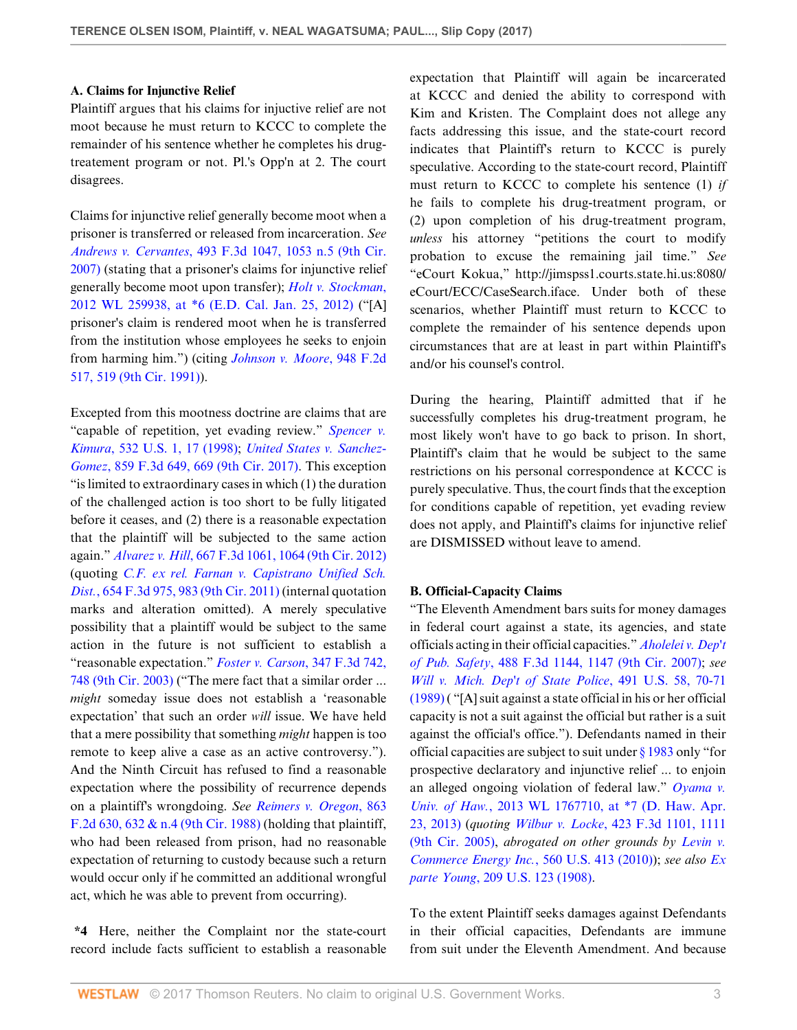### **A. Claims for Injunctive Relief**

Plaintiff argues that his claims for injuctive relief are not moot because he must return to KCCC to complete the remainder of his sentence whether he completes his drugtreatement program or not. Pl.'s Opp'n at 2. The court disagrees.

Claims for injunctive relief generally become moot when a prisoner is transferred or released from incarceration. *See Andrews v. Cervantes*[, 493 F.3d 1047, 1053 n.5 \(9th Cir.](http://www.westlaw.com/Link/Document/FullText?findType=Y&serNum=2012627823&pubNum=0000506&originatingDoc=Ic80761209e1811e7ae06bb6d796f727f&refType=RP&fi=co_pp_sp_506_1053&originationContext=document&vr=3.0&rs=cblt1.0&transitionType=DocumentItem&contextData=(sc.Default)#co_pp_sp_506_1053) [2007\)](http://www.westlaw.com/Link/Document/FullText?findType=Y&serNum=2012627823&pubNum=0000506&originatingDoc=Ic80761209e1811e7ae06bb6d796f727f&refType=RP&fi=co_pp_sp_506_1053&originationContext=document&vr=3.0&rs=cblt1.0&transitionType=DocumentItem&contextData=(sc.Default)#co_pp_sp_506_1053) (stating that a prisoner's claims for injunctive relief generally become moot upon transfer); *[Holt v. Stockman](http://www.westlaw.com/Link/Document/FullText?findType=Y&serNum=2026948545&pubNum=0000999&originatingDoc=Ic80761209e1811e7ae06bb6d796f727f&refType=RP&originationContext=document&vr=3.0&rs=cblt1.0&transitionType=DocumentItem&contextData=(sc.Default))*, [2012 WL 259938, at \\*6 \(E.D. Cal. Jan. 25, 2012\)](http://www.westlaw.com/Link/Document/FullText?findType=Y&serNum=2026948545&pubNum=0000999&originatingDoc=Ic80761209e1811e7ae06bb6d796f727f&refType=RP&originationContext=document&vr=3.0&rs=cblt1.0&transitionType=DocumentItem&contextData=(sc.Default)) ("[A] prisoner's claim is rendered moot when he is transferred from the institution whose employees he seeks to enjoin from harming him.") (citing *[Johnson v. Moore](http://www.westlaw.com/Link/Document/FullText?findType=Y&serNum=1991168214&pubNum=0000350&originatingDoc=Ic80761209e1811e7ae06bb6d796f727f&refType=RP&fi=co_pp_sp_350_519&originationContext=document&vr=3.0&rs=cblt1.0&transitionType=DocumentItem&contextData=(sc.Default)#co_pp_sp_350_519)*, 948 F.2d [517, 519 \(9th Cir. 1991\)\)](http://www.westlaw.com/Link/Document/FullText?findType=Y&serNum=1991168214&pubNum=0000350&originatingDoc=Ic80761209e1811e7ae06bb6d796f727f&refType=RP&fi=co_pp_sp_350_519&originationContext=document&vr=3.0&rs=cblt1.0&transitionType=DocumentItem&contextData=(sc.Default)#co_pp_sp_350_519).

Excepted from this mootness doctrine are claims that are "capable of repetition, yet evading review." *[Spencer v.](http://www.westlaw.com/Link/Document/FullText?findType=Y&serNum=2001191222&pubNum=0000780&originatingDoc=Ic80761209e1811e7ae06bb6d796f727f&refType=RP&fi=co_pp_sp_780_17&originationContext=document&vr=3.0&rs=cblt1.0&transitionType=DocumentItem&contextData=(sc.Default)#co_pp_sp_780_17) Kimura*[, 532 U.S. 1, 17 \(1998\);](http://www.westlaw.com/Link/Document/FullText?findType=Y&serNum=2001191222&pubNum=0000780&originatingDoc=Ic80761209e1811e7ae06bb6d796f727f&refType=RP&fi=co_pp_sp_780_17&originationContext=document&vr=3.0&rs=cblt1.0&transitionType=DocumentItem&contextData=(sc.Default)#co_pp_sp_780_17) *[United States v. Sanchez-](http://www.westlaw.com/Link/Document/FullText?findType=Y&serNum=2041764347&pubNum=0000506&originatingDoc=Ic80761209e1811e7ae06bb6d796f727f&refType=RP&fi=co_pp_sp_506_669&originationContext=document&vr=3.0&rs=cblt1.0&transitionType=DocumentItem&contextData=(sc.Default)#co_pp_sp_506_669)Gomez*[, 859 F.3d 649, 669 \(9th Cir. 2017\)](http://www.westlaw.com/Link/Document/FullText?findType=Y&serNum=2041764347&pubNum=0000506&originatingDoc=Ic80761209e1811e7ae06bb6d796f727f&refType=RP&fi=co_pp_sp_506_669&originationContext=document&vr=3.0&rs=cblt1.0&transitionType=DocumentItem&contextData=(sc.Default)#co_pp_sp_506_669). This exception "is limited to extraordinary cases in which (1) the duration of the challenged action is too short to be fully litigated before it ceases, and (2) there is a reasonable expectation that the plaintiff will be subjected to the same action again." *Alvarez v. Hill*[, 667 F.3d 1061, 1064 \(9th Cir. 2012\)](http://www.westlaw.com/Link/Document/FullText?findType=Y&serNum=2026899515&pubNum=0000506&originatingDoc=Ic80761209e1811e7ae06bb6d796f727f&refType=RP&fi=co_pp_sp_506_1064&originationContext=document&vr=3.0&rs=cblt1.0&transitionType=DocumentItem&contextData=(sc.Default)#co_pp_sp_506_1064) (quoting *[C.F. ex rel. Farnan v. Capistrano Unified Sch.](http://www.westlaw.com/Link/Document/FullText?findType=Y&serNum=2025905258&pubNum=0000506&originatingDoc=Ic80761209e1811e7ae06bb6d796f727f&refType=RP&fi=co_pp_sp_506_983&originationContext=document&vr=3.0&rs=cblt1.0&transitionType=DocumentItem&contextData=(sc.Default)#co_pp_sp_506_983) Dist.*[, 654 F.3d 975, 983 \(9th Cir. 2011\)](http://www.westlaw.com/Link/Document/FullText?findType=Y&serNum=2025905258&pubNum=0000506&originatingDoc=Ic80761209e1811e7ae06bb6d796f727f&refType=RP&fi=co_pp_sp_506_983&originationContext=document&vr=3.0&rs=cblt1.0&transitionType=DocumentItem&contextData=(sc.Default)#co_pp_sp_506_983) (internal quotation marks and alteration omitted). A merely speculative possibility that a plaintiff would be subject to the same action in the future is not sufficient to establish a "reasonable expectation." *[Foster v. Carson](http://www.westlaw.com/Link/Document/FullText?findType=Y&serNum=2003709035&pubNum=0000506&originatingDoc=Ic80761209e1811e7ae06bb6d796f727f&refType=RP&fi=co_pp_sp_506_748&originationContext=document&vr=3.0&rs=cblt1.0&transitionType=DocumentItem&contextData=(sc.Default)#co_pp_sp_506_748)*, 347 F.3d 742, [748 \(9th Cir. 2003\)](http://www.westlaw.com/Link/Document/FullText?findType=Y&serNum=2003709035&pubNum=0000506&originatingDoc=Ic80761209e1811e7ae06bb6d796f727f&refType=RP&fi=co_pp_sp_506_748&originationContext=document&vr=3.0&rs=cblt1.0&transitionType=DocumentItem&contextData=(sc.Default)#co_pp_sp_506_748) ("The mere fact that a similar order ... *might* someday issue does not establish a 'reasonable expectation' that such an order *will* issue. We have held that a mere possibility that something *might* happen is too remote to keep alive a case as an active controversy."). And the Ninth Circuit has refused to find a reasonable expectation where the possibility of recurrence depends on a plaintiff's wrongdoing. *See [Reimers v. Oregon](http://www.westlaw.com/Link/Document/FullText?findType=Y&serNum=1989009232&pubNum=0000350&originatingDoc=Ic80761209e1811e7ae06bb6d796f727f&refType=RP&fi=co_pp_sp_350_632&originationContext=document&vr=3.0&rs=cblt1.0&transitionType=DocumentItem&contextData=(sc.Default)#co_pp_sp_350_632)*, 863 [F.2d 630, 632 & n.4 \(9th Cir. 1988\)](http://www.westlaw.com/Link/Document/FullText?findType=Y&serNum=1989009232&pubNum=0000350&originatingDoc=Ic80761209e1811e7ae06bb6d796f727f&refType=RP&fi=co_pp_sp_350_632&originationContext=document&vr=3.0&rs=cblt1.0&transitionType=DocumentItem&contextData=(sc.Default)#co_pp_sp_350_632) (holding that plaintiff, who had been released from prison, had no reasonable expectation of returning to custody because such a return would occur only if he committed an additional wrongful act, which he was able to prevent from occurring).

**\*4** Here, neither the Complaint nor the state-court record include facts sufficient to establish a reasonable expectation that Plaintiff will again be incarcerated at KCCC and denied the ability to correspond with Kim and Kristen. The Complaint does not allege any facts addressing this issue, and the state-court record indicates that Plaintiff's return to KCCC is purely speculative. According to the state-court record, Plaintiff must return to KCCC to complete his sentence (1) *if* he fails to complete his drug-treatment program, or (2) upon completion of his drug-treatment program, *unless* his attorney "petitions the court to modify probation to excuse the remaining jail time." *See* "eCourt Kokua," http://jimspss1.courts.state.hi.us:8080/ eCourt/ECC/CaseSearch.iface. Under both of these scenarios, whether Plaintiff must return to KCCC to complete the remainder of his sentence depends upon circumstances that are at least in part within Plaintiff's and/or his counsel's control.

During the hearing, Plaintiff admitted that if he successfully completes his drug-treatment program, he most likely won't have to go back to prison. In short, Plaintiff's claim that he would be subject to the same restrictions on his personal correspondence at KCCC is purely speculative. Thus, the court finds that the exception for conditions capable of repetition, yet evading review does not apply, and Plaintiff's claims for injunctive relief are DISMISSED without leave to amend.

### **B. Official-Capacity Claims**

"The Eleventh Amendment bars suits for money damages in federal court against a state, its agencies, and state officials acting in their official capacities." *[Aholelei v. Dep't](http://www.westlaw.com/Link/Document/FullText?findType=Y&serNum=2012341964&pubNum=0000506&originatingDoc=Ic80761209e1811e7ae06bb6d796f727f&refType=RP&fi=co_pp_sp_506_1147&originationContext=document&vr=3.0&rs=cblt1.0&transitionType=DocumentItem&contextData=(sc.Default)#co_pp_sp_506_1147) of Pub. Safety*[, 488 F.3d 1144, 1147 \(9th Cir. 2007\)](http://www.westlaw.com/Link/Document/FullText?findType=Y&serNum=2012341964&pubNum=0000506&originatingDoc=Ic80761209e1811e7ae06bb6d796f727f&refType=RP&fi=co_pp_sp_506_1147&originationContext=document&vr=3.0&rs=cblt1.0&transitionType=DocumentItem&contextData=(sc.Default)#co_pp_sp_506_1147); *see [Will v. Mich. Dep't of State Police](http://www.westlaw.com/Link/Document/FullText?findType=Y&serNum=1989089479&pubNum=0000780&originatingDoc=Ic80761209e1811e7ae06bb6d796f727f&refType=RP&fi=co_pp_sp_780_70&originationContext=document&vr=3.0&rs=cblt1.0&transitionType=DocumentItem&contextData=(sc.Default)#co_pp_sp_780_70)*, 491 U.S. 58, 70-71 [\(1989\)](http://www.westlaw.com/Link/Document/FullText?findType=Y&serNum=1989089479&pubNum=0000780&originatingDoc=Ic80761209e1811e7ae06bb6d796f727f&refType=RP&fi=co_pp_sp_780_70&originationContext=document&vr=3.0&rs=cblt1.0&transitionType=DocumentItem&contextData=(sc.Default)#co_pp_sp_780_70) ( "[A] suit against a state official in his or her official capacity is not a suit against the official but rather is a suit against the official's office."). Defendants named in their official capacities are subject to suit under [§ 1983](http://www.westlaw.com/Link/Document/FullText?findType=L&pubNum=1000546&cite=42USCAS1983&originatingDoc=Ic80761209e1811e7ae06bb6d796f727f&refType=LQ&originationContext=document&vr=3.0&rs=cblt1.0&transitionType=DocumentItem&contextData=(sc.Default)) only "for prospective declaratory and injunctive relief ... to enjoin an alleged ongoing violation of federal law." *[Oyama v.](http://www.westlaw.com/Link/Document/FullText?findType=Y&serNum=2030430125&pubNum=0000999&originatingDoc=Ic80761209e1811e7ae06bb6d796f727f&refType=RP&originationContext=document&vr=3.0&rs=cblt1.0&transitionType=DocumentItem&contextData=(sc.Default)) Univ. of Haw.*[, 2013 WL 1767710, at \\*7 \(D. Haw. Apr.](http://www.westlaw.com/Link/Document/FullText?findType=Y&serNum=2030430125&pubNum=0000999&originatingDoc=Ic80761209e1811e7ae06bb6d796f727f&refType=RP&originationContext=document&vr=3.0&rs=cblt1.0&transitionType=DocumentItem&contextData=(sc.Default)) [23, 2013\)](http://www.westlaw.com/Link/Document/FullText?findType=Y&serNum=2030430125&pubNum=0000999&originatingDoc=Ic80761209e1811e7ae06bb6d796f727f&refType=RP&originationContext=document&vr=3.0&rs=cblt1.0&transitionType=DocumentItem&contextData=(sc.Default)) (*quoting Wilbur v. Locke*[, 423 F.3d 1101, 1111](http://www.westlaw.com/Link/Document/FullText?findType=Y&serNum=2007276759&pubNum=0000506&originatingDoc=Ic80761209e1811e7ae06bb6d796f727f&refType=RP&fi=co_pp_sp_506_1111&originationContext=document&vr=3.0&rs=cblt1.0&transitionType=DocumentItem&contextData=(sc.Default)#co_pp_sp_506_1111) [\(9th Cir. 2005\)](http://www.westlaw.com/Link/Document/FullText?findType=Y&serNum=2007276759&pubNum=0000506&originatingDoc=Ic80761209e1811e7ae06bb6d796f727f&refType=RP&fi=co_pp_sp_506_1111&originationContext=document&vr=3.0&rs=cblt1.0&transitionType=DocumentItem&contextData=(sc.Default)#co_pp_sp_506_1111), *abrogated on other grounds by [Levin v.](http://www.westlaw.com/Link/Document/FullText?findType=Y&serNum=2022190727&pubNum=0000780&originatingDoc=Ic80761209e1811e7ae06bb6d796f727f&refType=RP&originationContext=document&vr=3.0&rs=cblt1.0&transitionType=DocumentItem&contextData=(sc.Default)) [Commerce Energy Inc.](http://www.westlaw.com/Link/Document/FullText?findType=Y&serNum=2022190727&pubNum=0000780&originatingDoc=Ic80761209e1811e7ae06bb6d796f727f&refType=RP&originationContext=document&vr=3.0&rs=cblt1.0&transitionType=DocumentItem&contextData=(sc.Default))*, 560 U.S. 413 (2010)); *see also [Ex](http://www.westlaw.com/Link/Document/FullText?findType=Y&serNum=1908100273&pubNum=0000780&originatingDoc=Ic80761209e1811e7ae06bb6d796f727f&refType=RP&originationContext=document&vr=3.0&rs=cblt1.0&transitionType=DocumentItem&contextData=(sc.Default)) parte Young*[, 209 U.S. 123 \(1908\).](http://www.westlaw.com/Link/Document/FullText?findType=Y&serNum=1908100273&pubNum=0000780&originatingDoc=Ic80761209e1811e7ae06bb6d796f727f&refType=RP&originationContext=document&vr=3.0&rs=cblt1.0&transitionType=DocumentItem&contextData=(sc.Default))

To the extent Plaintiff seeks damages against Defendants in their official capacities, Defendants are immune from suit under the Eleventh Amendment. And because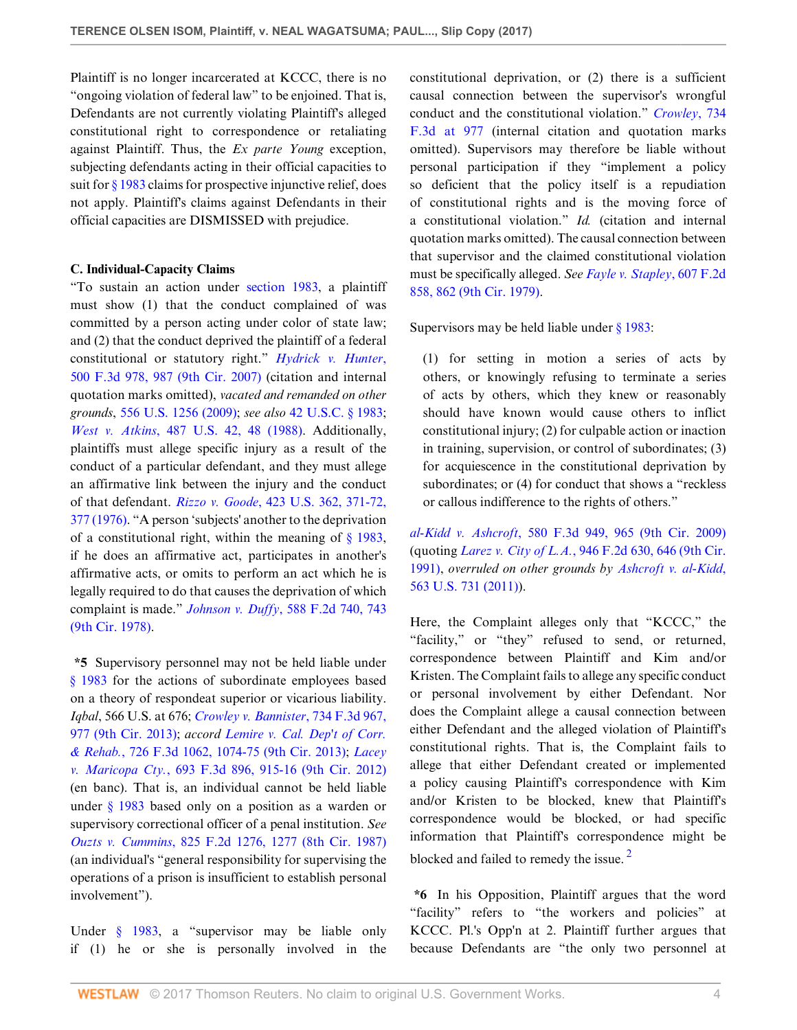Plaintiff is no longer incarcerated at KCCC, there is no "ongoing violation of federal law" to be enjoined. That is, Defendants are not currently violating Plaintiff's alleged constitutional right to correspondence or retaliating against Plaintiff. Thus, the *Ex parte Young* exception, subjecting defendants acting in their official capacities to suit for [§ 1983](http://www.westlaw.com/Link/Document/FullText?findType=L&pubNum=1000546&cite=42USCAS1983&originatingDoc=Ic80761209e1811e7ae06bb6d796f727f&refType=LQ&originationContext=document&vr=3.0&rs=cblt1.0&transitionType=DocumentItem&contextData=(sc.Default)) claims for prospective injunctive relief, does not apply. Plaintiff's claims against Defendants in their official capacities are DISMISSED with prejudice.

### **C. Individual-Capacity Claims**

"To sustain an action under [section 1983](http://www.westlaw.com/Link/Document/FullText?findType=L&pubNum=1000546&cite=42USCAS1983&originatingDoc=Ic80761209e1811e7ae06bb6d796f727f&refType=LQ&originationContext=document&vr=3.0&rs=cblt1.0&transitionType=DocumentItem&contextData=(sc.Default)), a plaintiff must show (1) that the conduct complained of was committed by a person acting under color of state law; and (2) that the conduct deprived the plaintiff of a federal constitutional or statutory right." *[Hydrick v. Hunter](http://www.westlaw.com/Link/Document/FullText?findType=Y&serNum=2013082879&pubNum=0000506&originatingDoc=Ic80761209e1811e7ae06bb6d796f727f&refType=RP&fi=co_pp_sp_506_987&originationContext=document&vr=3.0&rs=cblt1.0&transitionType=DocumentItem&contextData=(sc.Default)#co_pp_sp_506_987)*, [500 F.3d 978, 987 \(9th Cir. 2007\)](http://www.westlaw.com/Link/Document/FullText?findType=Y&serNum=2013082879&pubNum=0000506&originatingDoc=Ic80761209e1811e7ae06bb6d796f727f&refType=RP&fi=co_pp_sp_506_987&originationContext=document&vr=3.0&rs=cblt1.0&transitionType=DocumentItem&contextData=(sc.Default)#co_pp_sp_506_987) (citation and internal quotation marks omitted), *vacated and remanded on other grounds*, [556 U.S. 1256 \(2009\);](http://www.westlaw.com/Link/Document/FullText?findType=Y&serNum=2014874336&pubNum=0000780&originatingDoc=Ic80761209e1811e7ae06bb6d796f727f&refType=RP&originationContext=document&vr=3.0&rs=cblt1.0&transitionType=DocumentItem&contextData=(sc.Default)) *see also* [42 U.S.C. § 1983](http://www.westlaw.com/Link/Document/FullText?findType=L&pubNum=1000546&cite=42USCAS1983&originatingDoc=Ic80761209e1811e7ae06bb6d796f727f&refType=LQ&originationContext=document&vr=3.0&rs=cblt1.0&transitionType=DocumentItem&contextData=(sc.Default)); *West v. Atkins*[, 487 U.S. 42, 48 \(1988\)](http://www.westlaw.com/Link/Document/FullText?findType=Y&serNum=1988079271&pubNum=0000780&originatingDoc=Ic80761209e1811e7ae06bb6d796f727f&refType=RP&fi=co_pp_sp_780_48&originationContext=document&vr=3.0&rs=cblt1.0&transitionType=DocumentItem&contextData=(sc.Default)#co_pp_sp_780_48). Additionally, plaintiffs must allege specific injury as a result of the conduct of a particular defendant, and they must allege an affirmative link between the injury and the conduct of that defendant. *Rizzo v. Goode*[, 423 U.S. 362, 371-72,](http://www.westlaw.com/Link/Document/FullText?findType=Y&serNum=1976142307&pubNum=0000780&originatingDoc=Ic80761209e1811e7ae06bb6d796f727f&refType=RP&fi=co_pp_sp_780_371&originationContext=document&vr=3.0&rs=cblt1.0&transitionType=DocumentItem&contextData=(sc.Default)#co_pp_sp_780_371) [377 \(1976\).](http://www.westlaw.com/Link/Document/FullText?findType=Y&serNum=1976142307&pubNum=0000780&originatingDoc=Ic80761209e1811e7ae06bb6d796f727f&refType=RP&fi=co_pp_sp_780_371&originationContext=document&vr=3.0&rs=cblt1.0&transitionType=DocumentItem&contextData=(sc.Default)#co_pp_sp_780_371) "A person 'subjects' another to the deprivation of a constitutional right, within the meaning of  $\S$  1983, if he does an affirmative act, participates in another's affirmative acts, or omits to perform an act which he is legally required to do that causes the deprivation of which complaint is made." *Johnson v. Duffy*[, 588 F.2d 740, 743](http://www.westlaw.com/Link/Document/FullText?findType=Y&serNum=1979145211&pubNum=0000350&originatingDoc=Ic80761209e1811e7ae06bb6d796f727f&refType=RP&fi=co_pp_sp_350_743&originationContext=document&vr=3.0&rs=cblt1.0&transitionType=DocumentItem&contextData=(sc.Default)#co_pp_sp_350_743) [\(9th Cir. 1978\).](http://www.westlaw.com/Link/Document/FullText?findType=Y&serNum=1979145211&pubNum=0000350&originatingDoc=Ic80761209e1811e7ae06bb6d796f727f&refType=RP&fi=co_pp_sp_350_743&originationContext=document&vr=3.0&rs=cblt1.0&transitionType=DocumentItem&contextData=(sc.Default)#co_pp_sp_350_743)

**\*5** Supervisory personnel may not be held liable under [§ 1983](http://www.westlaw.com/Link/Document/FullText?findType=L&pubNum=1000546&cite=42USCAS1983&originatingDoc=Ic80761209e1811e7ae06bb6d796f727f&refType=LQ&originationContext=document&vr=3.0&rs=cblt1.0&transitionType=DocumentItem&contextData=(sc.Default)) for the actions of subordinate employees based on a theory of respondeat superior or vicarious liability. *Iqbal*, 566 U.S. at 676; *[Crowley v. Bannister](http://www.westlaw.com/Link/Document/FullText?findType=Y&serNum=2031872990&pubNum=0000506&originatingDoc=Ic80761209e1811e7ae06bb6d796f727f&refType=RP&fi=co_pp_sp_506_977&originationContext=document&vr=3.0&rs=cblt1.0&transitionType=DocumentItem&contextData=(sc.Default)#co_pp_sp_506_977)*, 734 F.3d 967, [977 \(9th Cir. 2013\);](http://www.westlaw.com/Link/Document/FullText?findType=Y&serNum=2031872990&pubNum=0000506&originatingDoc=Ic80761209e1811e7ae06bb6d796f727f&refType=RP&fi=co_pp_sp_506_977&originationContext=document&vr=3.0&rs=cblt1.0&transitionType=DocumentItem&contextData=(sc.Default)#co_pp_sp_506_977) *accord [Lemire v. Cal. Dep't of Corr.](http://www.westlaw.com/Link/Document/FullText?findType=Y&serNum=2031244592&pubNum=0000506&originatingDoc=Ic80761209e1811e7ae06bb6d796f727f&refType=RP&fi=co_pp_sp_506_1074&originationContext=document&vr=3.0&rs=cblt1.0&transitionType=DocumentItem&contextData=(sc.Default)#co_pp_sp_506_1074) & Rehab.*[, 726 F.3d 1062, 1074-75 \(9th Cir. 2013\);](http://www.westlaw.com/Link/Document/FullText?findType=Y&serNum=2031244592&pubNum=0000506&originatingDoc=Ic80761209e1811e7ae06bb6d796f727f&refType=RP&fi=co_pp_sp_506_1074&originationContext=document&vr=3.0&rs=cblt1.0&transitionType=DocumentItem&contextData=(sc.Default)#co_pp_sp_506_1074) *[Lacey](http://www.westlaw.com/Link/Document/FullText?findType=Y&serNum=2028499306&pubNum=0000506&originatingDoc=Ic80761209e1811e7ae06bb6d796f727f&refType=RP&fi=co_pp_sp_506_915&originationContext=document&vr=3.0&rs=cblt1.0&transitionType=DocumentItem&contextData=(sc.Default)#co_pp_sp_506_915) v. Maricopa Cty.*[, 693 F.3d 896, 915-16 \(9th Cir. 2012\)](http://www.westlaw.com/Link/Document/FullText?findType=Y&serNum=2028499306&pubNum=0000506&originatingDoc=Ic80761209e1811e7ae06bb6d796f727f&refType=RP&fi=co_pp_sp_506_915&originationContext=document&vr=3.0&rs=cblt1.0&transitionType=DocumentItem&contextData=(sc.Default)#co_pp_sp_506_915) (en banc). That is, an individual cannot be held liable under [§ 1983](http://www.westlaw.com/Link/Document/FullText?findType=L&pubNum=1000546&cite=42USCAS1983&originatingDoc=Ic80761209e1811e7ae06bb6d796f727f&refType=LQ&originationContext=document&vr=3.0&rs=cblt1.0&transitionType=DocumentItem&contextData=(sc.Default)) based only on a position as a warden or supervisory correctional officer of a penal institution. *See Ouzts v. Cummins*[, 825 F.2d 1276, 1277 \(8th Cir. 1987\)](http://www.westlaw.com/Link/Document/FullText?findType=Y&serNum=1987101018&pubNum=0000350&originatingDoc=Ic80761209e1811e7ae06bb6d796f727f&refType=RP&fi=co_pp_sp_350_1277&originationContext=document&vr=3.0&rs=cblt1.0&transitionType=DocumentItem&contextData=(sc.Default)#co_pp_sp_350_1277) (an individual's "general responsibility for supervising the operations of a prison is insufficient to establish personal involvement").

Under [§ 1983,](http://www.westlaw.com/Link/Document/FullText?findType=L&pubNum=1000546&cite=42USCAS1983&originatingDoc=Ic80761209e1811e7ae06bb6d796f727f&refType=LQ&originationContext=document&vr=3.0&rs=cblt1.0&transitionType=DocumentItem&contextData=(sc.Default)) a "supervisor may be liable only if (1) he or she is personally involved in the constitutional deprivation, or (2) there is a sufficient causal connection between the supervisor's wrongful conduct and the constitutional violation." *[Crowley](http://www.westlaw.com/Link/Document/FullText?findType=Y&serNum=2031872990&pubNum=0000506&originatingDoc=Ic80761209e1811e7ae06bb6d796f727f&refType=RP&fi=co_pp_sp_506_977&originationContext=document&vr=3.0&rs=cblt1.0&transitionType=DocumentItem&contextData=(sc.Default)#co_pp_sp_506_977)*, 734 [F.3d at 977](http://www.westlaw.com/Link/Document/FullText?findType=Y&serNum=2031872990&pubNum=0000506&originatingDoc=Ic80761209e1811e7ae06bb6d796f727f&refType=RP&fi=co_pp_sp_506_977&originationContext=document&vr=3.0&rs=cblt1.0&transitionType=DocumentItem&contextData=(sc.Default)#co_pp_sp_506_977) (internal citation and quotation marks omitted). Supervisors may therefore be liable without personal participation if they "implement a policy so deficient that the policy itself is a repudiation of constitutional rights and is the moving force of a constitutional violation." *Id.* (citation and internal quotation marks omitted). The causal connection between that supervisor and the claimed constitutional violation must be specifically alleged. *See [Fayle v. Stapley](http://www.westlaw.com/Link/Document/FullText?findType=Y&serNum=1979114931&pubNum=0000350&originatingDoc=Ic80761209e1811e7ae06bb6d796f727f&refType=RP&fi=co_pp_sp_350_862&originationContext=document&vr=3.0&rs=cblt1.0&transitionType=DocumentItem&contextData=(sc.Default)#co_pp_sp_350_862)*, 607 F.2d [858, 862 \(9th Cir. 1979\).](http://www.westlaw.com/Link/Document/FullText?findType=Y&serNum=1979114931&pubNum=0000350&originatingDoc=Ic80761209e1811e7ae06bb6d796f727f&refType=RP&fi=co_pp_sp_350_862&originationContext=document&vr=3.0&rs=cblt1.0&transitionType=DocumentItem&contextData=(sc.Default)#co_pp_sp_350_862)

Supervisors may be held liable under  $\S$  1983:

(1) for setting in motion a series of acts by others, or knowingly refusing to terminate a series of acts by others, which they knew or reasonably should have known would cause others to inflict constitutional injury; (2) for culpable action or inaction in training, supervision, or control of subordinates; (3) for acquiescence in the constitutional deprivation by subordinates; or (4) for conduct that shows a "reckless or callous indifference to the rights of others."

*al-Kidd v. Ashcroft*[, 580 F.3d 949, 965 \(9th Cir. 2009\)](http://www.westlaw.com/Link/Document/FullText?findType=Y&serNum=2019751624&pubNum=0000506&originatingDoc=Ic80761209e1811e7ae06bb6d796f727f&refType=RP&fi=co_pp_sp_506_965&originationContext=document&vr=3.0&rs=cblt1.0&transitionType=DocumentItem&contextData=(sc.Default)#co_pp_sp_506_965) (quoting *Larez v. City of L.A.*[, 946 F.2d 630, 646 \(9th Cir.](http://www.westlaw.com/Link/Document/FullText?findType=Y&serNum=1991162223&pubNum=0000350&originatingDoc=Ic80761209e1811e7ae06bb6d796f727f&refType=RP&fi=co_pp_sp_350_646&originationContext=document&vr=3.0&rs=cblt1.0&transitionType=DocumentItem&contextData=(sc.Default)#co_pp_sp_350_646) [1991\)](http://www.westlaw.com/Link/Document/FullText?findType=Y&serNum=1991162223&pubNum=0000350&originatingDoc=Ic80761209e1811e7ae06bb6d796f727f&refType=RP&fi=co_pp_sp_350_646&originationContext=document&vr=3.0&rs=cblt1.0&transitionType=DocumentItem&contextData=(sc.Default)#co_pp_sp_350_646), *overruled on other grounds by [Ashcroft v. al-Kidd](http://www.westlaw.com/Link/Document/FullText?findType=Y&serNum=2025376455&pubNum=0000780&originatingDoc=Ic80761209e1811e7ae06bb6d796f727f&refType=RP&originationContext=document&vr=3.0&rs=cblt1.0&transitionType=DocumentItem&contextData=(sc.Default))*, [563 U.S. 731 \(2011\)](http://www.westlaw.com/Link/Document/FullText?findType=Y&serNum=2025376455&pubNum=0000780&originatingDoc=Ic80761209e1811e7ae06bb6d796f727f&refType=RP&originationContext=document&vr=3.0&rs=cblt1.0&transitionType=DocumentItem&contextData=(sc.Default))).

Here, the Complaint alleges only that "KCCC," the "facility," or "they" refused to send, or returned, correspondence between Plaintiff and Kim and/or Kristen. The Complaint fails to allege any specific conduct or personal involvement by either Defendant. Nor does the Complaint allege a causal connection between either Defendant and the alleged violation of Plaintiff's constitutional rights. That is, the Complaint fails to allege that either Defendant created or implemented a policy causing Plaintiff's correspondence with Kim and/or Kristen to be blocked, knew that Plaintiff's correspondence would be blocked, or had specific information that Plaintiff's correspondence might be blocked and failed to remedy the issue.<sup>[2](#page-4-1)</sup>

<span id="page-3-0"></span>**\*6** In his Opposition, Plaintiff argues that the word "facility" refers to "the workers and policies" at KCCC. Pl.'s Opp'n at 2. Plaintiff further argues that because Defendants are "the only two personnel at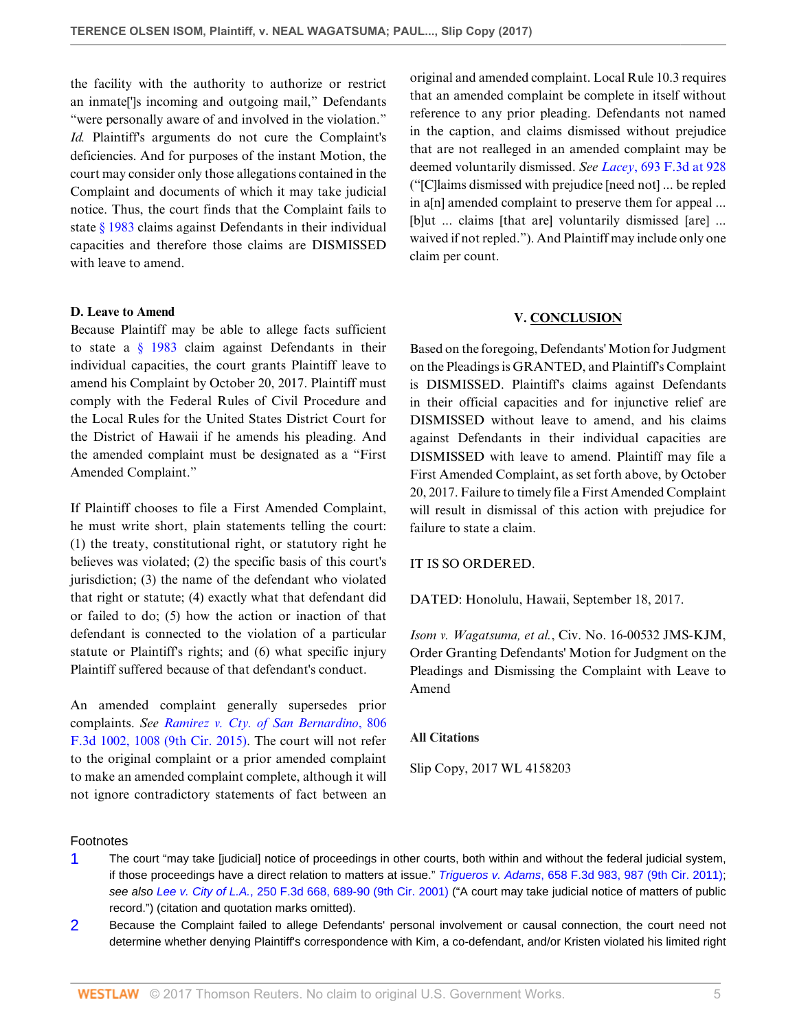the facility with the authority to authorize or restrict an inmate[']s incoming and outgoing mail," Defendants "were personally aware of and involved in the violation." *Id.* Plaintiff's arguments do not cure the Complaint's deficiencies. And for purposes of the instant Motion, the court may consider only those allegations contained in the Complaint and documents of which it may take judicial notice. Thus, the court finds that the Complaint fails to state [§ 1983](http://www.westlaw.com/Link/Document/FullText?findType=L&pubNum=1000546&cite=42USCAS1983&originatingDoc=Ic80761209e1811e7ae06bb6d796f727f&refType=LQ&originationContext=document&vr=3.0&rs=cblt1.0&transitionType=DocumentItem&contextData=(sc.Default)) claims against Defendants in their individual capacities and therefore those claims are DISMISSED with leave to amend.

### **D. Leave to Amend**

Because Plaintiff may be able to allege facts sufficient to state a [§ 1983](http://www.westlaw.com/Link/Document/FullText?findType=L&pubNum=1000546&cite=42USCAS1983&originatingDoc=Ic80761209e1811e7ae06bb6d796f727f&refType=LQ&originationContext=document&vr=3.0&rs=cblt1.0&transitionType=DocumentItem&contextData=(sc.Default)) claim against Defendants in their individual capacities, the court grants Plaintiff leave to amend his Complaint by October 20, 2017. Plaintiff must comply with the Federal Rules of Civil Procedure and the Local Rules for the United States District Court for the District of Hawaii if he amends his pleading. And the amended complaint must be designated as a "First Amended Complaint."

If Plaintiff chooses to file a First Amended Complaint, he must write short, plain statements telling the court: (1) the treaty, constitutional right, or statutory right he believes was violated; (2) the specific basis of this court's jurisdiction; (3) the name of the defendant who violated that right or statute; (4) exactly what that defendant did or failed to do; (5) how the action or inaction of that defendant is connected to the violation of a particular statute or Plaintiff's rights; and (6) what specific injury Plaintiff suffered because of that defendant's conduct.

An amended complaint generally supersedes prior complaints. *See [Ramirez v. Cty. of San Bernardino](http://www.westlaw.com/Link/Document/FullText?findType=Y&serNum=2037652666&pubNum=0000506&originatingDoc=Ic80761209e1811e7ae06bb6d796f727f&refType=RP&fi=co_pp_sp_506_1008&originationContext=document&vr=3.0&rs=cblt1.0&transitionType=DocumentItem&contextData=(sc.Default)#co_pp_sp_506_1008)*, 806 [F.3d 1002, 1008 \(9th Cir. 2015\).](http://www.westlaw.com/Link/Document/FullText?findType=Y&serNum=2037652666&pubNum=0000506&originatingDoc=Ic80761209e1811e7ae06bb6d796f727f&refType=RP&fi=co_pp_sp_506_1008&originationContext=document&vr=3.0&rs=cblt1.0&transitionType=DocumentItem&contextData=(sc.Default)#co_pp_sp_506_1008) The court will not refer to the original complaint or a prior amended complaint to make an amended complaint complete, although it will not ignore contradictory statements of fact between an

original and amended complaint. Local Rule 10.3 requires that an amended complaint be complete in itself without reference to any prior pleading. Defendants not named in the caption, and claims dismissed without prejudice that are not realleged in an amended complaint may be deemed voluntarily dismissed. *See Lacey*[, 693 F.3d at 928](http://www.westlaw.com/Link/Document/FullText?findType=Y&serNum=2028499306&pubNum=0000506&originatingDoc=Ic80761209e1811e7ae06bb6d796f727f&refType=RP&fi=co_pp_sp_506_928&originationContext=document&vr=3.0&rs=cblt1.0&transitionType=DocumentItem&contextData=(sc.Default)#co_pp_sp_506_928) ("[C]laims dismissed with prejudice [need not] ... be repled in a[n] amended complaint to preserve them for appeal ... [b]ut ... claims [that are] voluntarily dismissed [are] ... waived if not repled."). And Plaintiff may include only one claim per count.

### **V. CONCLUSION**

Based on the foregoing, Defendants' Motion for Judgment on the Pleadings is GRANTED, and Plaintiff's Complaint is DISMISSED. Plaintiff's claims against Defendants in their official capacities and for injunctive relief are DISMISSED without leave to amend, and his claims against Defendants in their individual capacities are DISMISSED with leave to amend. Plaintiff may file a First Amended Complaint, as set forth above, by October 20, 2017. Failure to timely file a First Amended Complaint will result in dismissal of this action with prejudice for failure to state a claim.

### IT IS SO ORDERED.

DATED: Honolulu, Hawaii, September 18, 2017.

*Isom v. Wagatsuma, et al.*, Civ. No. 16-00532 JMS-KJM, Order Granting Defendants' Motion for Judgment on the Pleadings and Dismissing the Complaint with Leave to Amend

### **All Citations**

Slip Copy, 2017 WL 4158203

### Footnotes

- <span id="page-4-0"></span>[1](#page-0-0) The court "may take [judicial] notice of proceedings in other courts, both within and without the federal judicial system, if those proceedings have a direct relation to matters at issue." Trigueros v. Adams[, 658 F.3d 983, 987 \(9th Cir. 2011\)](http://www.westlaw.com/Link/Document/FullText?findType=Y&serNum=2026145300&pubNum=0000506&originatingDoc=Ic80761209e1811e7ae06bb6d796f727f&refType=RP&fi=co_pp_sp_506_987&originationContext=document&vr=3.0&rs=cblt1.0&transitionType=DocumentItem&contextData=(sc.Default)#co_pp_sp_506_987); see also Lee v. City of L.A.[, 250 F.3d 668, 689-90 \(9th Cir. 2001\)](http://www.westlaw.com/Link/Document/FullText?findType=Y&serNum=2001385224&pubNum=0000506&originatingDoc=Ic80761209e1811e7ae06bb6d796f727f&refType=RP&fi=co_pp_sp_506_689&originationContext=document&vr=3.0&rs=cblt1.0&transitionType=DocumentItem&contextData=(sc.Default)#co_pp_sp_506_689) ("A court may take judicial notice of matters of public record.") (citation and quotation marks omitted).
- <span id="page-4-1"></span>[2](#page-3-0) Because the Complaint failed to allege Defendants' personal involvement or causal connection, the court need not determine whether denying Plaintiff's correspondence with Kim, a co-defendant, and/or Kristen violated his limited right